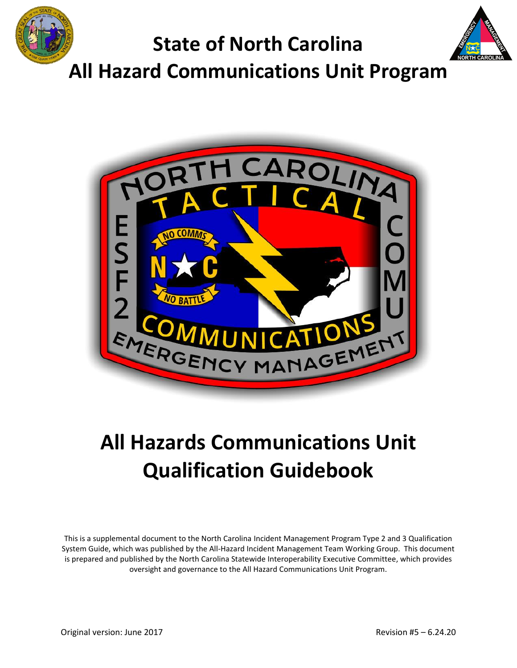



# **All Hazards Communications Unit Qualification Guidebook**

<span id="page-0-0"></span>This is a supplemental document to the North Carolina Incident Management Program Type 2 and 3 Qualification System Guide, which was published by the All-Hazard Incident Management Team Working Group. This document is prepared and published by the North Carolina Statewide Interoperability Executive Committee, which provides oversight and governance to the All Hazard Communications Unit Program.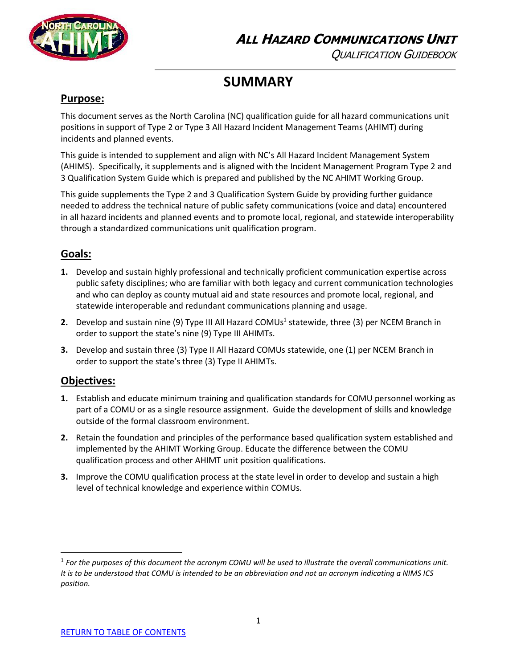

QUALIFICATION GUIDEBOOK

# **SUMMARY**

### **Purpose:**

This document serves as the North Carolina (NC) qualification guide for all hazard communications unit positions in support of Type 2 or Type 3 All Hazard Incident Management Teams (AHIMT) during incidents and planned events.

This guide is intended to supplement and align with NC's All Hazard Incident Management System (AHIMS). Specifically, it supplements and is aligned with the Incident Management Program Type 2 and 3 Qualification System Guide which is prepared and published by the NC AHIMT Working Group.

This guide supplements the Type 2 and 3 Qualification System Guide by providing further guidance needed to address the technical nature of public safety communications (voice and data) encountered in all hazard incidents and planned events and to promote local, regional, and statewide interoperability through a standardized communications unit qualification program.

# **Goals:**

- **1.** Develop and sustain highly professional and technically proficient communication expertise across public safety disciplines; who are familiar with both legacy and current communication technologies and who can deploy as county mutual aid and state resources and promote local, regional, and statewide interoperable and redundant communications planning and usage.
- **2.** Develop and sustain nine (9) Type III All Hazard COMUs<sup>1</sup> statewide, three (3) per NCEM Branch in order to support the state's nine (9) Type III AHIMTs.
- **3.** Develop and sustain three (3) Type II All Hazard COMUs statewide, one (1) per NCEM Branch in order to support the state's three (3) Type II AHIMTs.

### **Objectives:**

 $\overline{\phantom{a}}$ 

- **1.** Establish and educate minimum training and qualification standards for COMU personnel working as part of a COMU or as a single resource assignment. Guide the development of skills and knowledge outside of the formal classroom environment.
- **2.** Retain the foundation and principles of the performance based qualification system established and implemented by the AHIMT Working Group. Educate the difference between the COMU qualification process and other AHIMT unit position qualifications.
- **3.** Improve the COMU qualification process at the state level in order to develop and sustain a high level of technical knowledge and experience within COMUs.

<sup>&</sup>lt;sup>1</sup> For the purposes of this document the acronym COMU will be used to illustrate the overall communications unit. *It is to be understood that COMU is intended to be an abbreviation and not an acronym indicating a NIMS ICS position.*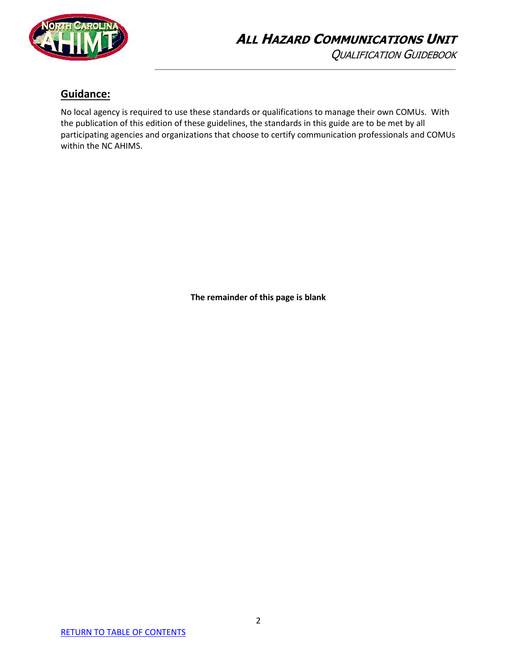

### **Guidance:**

No local agency is required to use these standards or qualifications to manage their own COMUs. With the publication of this edition of these guidelines, the standards in this guide are to be met by all participating agencies and organizations that choose to certify communication professionals and COMUs within the NC AHIMS.

**The remainder of this page is blank**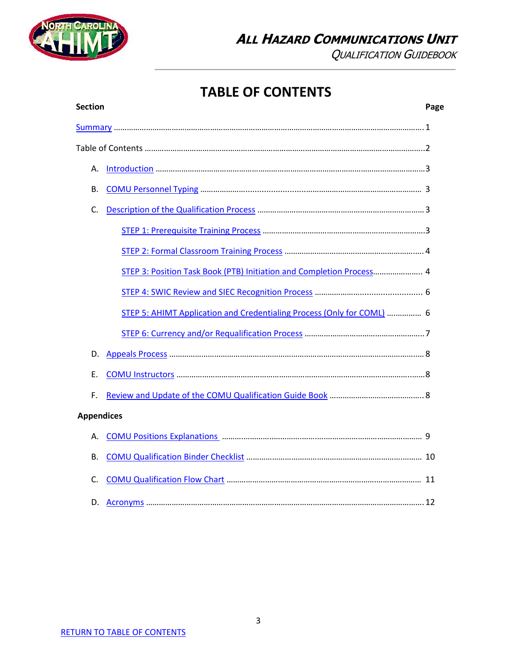

QUALIFICATION GUIDEBOOK

# **TABLE OF CONTENTS**

<span id="page-3-0"></span>

|                   | <b>Section</b> |                                                                        | Page |
|-------------------|----------------|------------------------------------------------------------------------|------|
|                   |                |                                                                        |      |
|                   |                |                                                                        |      |
|                   | А.             |                                                                        |      |
|                   | В.             |                                                                        |      |
|                   | C.             |                                                                        |      |
|                   |                |                                                                        |      |
|                   |                |                                                                        |      |
|                   |                | STEP 3: Position Task Book (PTB) Initiation and Completion Process 4   |      |
|                   |                |                                                                        |      |
|                   |                | STEP 5: AHIMT Application and Credentialing Process (Only for COML)  6 |      |
|                   |                |                                                                        |      |
|                   | D.             |                                                                        |      |
|                   | Е.             |                                                                        |      |
|                   | F.             |                                                                        |      |
| <b>Appendices</b> |                |                                                                        |      |
|                   | А.             |                                                                        |      |
|                   | В.             |                                                                        |      |
|                   | C.             |                                                                        |      |
|                   | D.             |                                                                        |      |
|                   |                |                                                                        |      |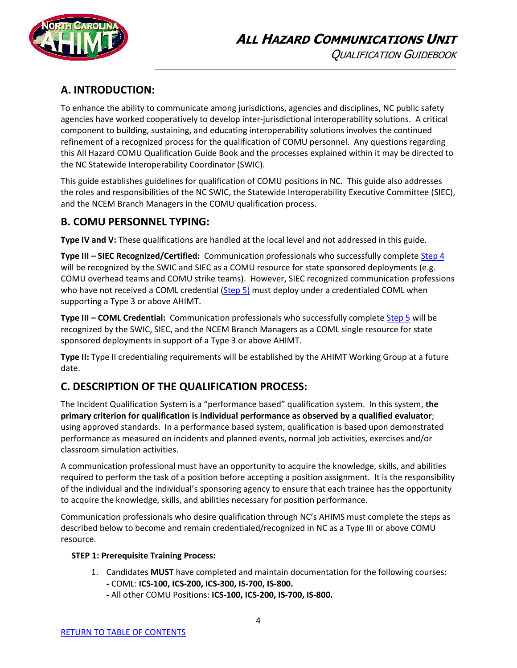

# <span id="page-4-0"></span>**A. INTRODUCTION:**

To enhance the ability to communicate among jurisdictions, agencies and disciplines, NC public safety agencies have worked cooperatively to develop inter-jurisdictional interoperability solutions. A critical component to building, sustaining, and educating interoperability solutions involves the continued refinement of a recognized process for the qualification of COMU personnel. Any questions regarding this All Hazard COMU Qualification Guide Book and the processes explained within it may be directed to the NC Statewide Interoperability Coordinator (SWIC).

This guide establishes guidelines for qualification of COMU positions in NC. This guide also addresses the roles and responsibilities of the NC SWIC, the Statewide Interoperability Executive Committee (SIEC), and the NCEM Branch Managers in the COMU qualification process.

### <span id="page-4-1"></span>**B. COMU PERSONNEL TYPING:**

**Type IV and V:** These qualifications are handled at the local level and not addressed in this guide.

**Type III - SIEC Recognized/Certified:** Communication professionals who successfully complete [Step 4](#page-7-0) will be recognized by the SWIC and SIEC as a COMU resource for state sponsored deployments (e.g. COMU overhead teams and COMU strike teams). However, SIEC recognized communication professions who have not received a COML credential  $(Stop 5)$  must deploy under a credentialed COML when supporting a Type 3 or above AHIMT.

**Type III – COML Credential:** Communication professionals who successfully complete [Step 5](#page-8-0) will be recognized by the SWIC, SIEC, and the NCEM Branch Managers as a COML single resource for state sponsored deployments in support of a Type 3 or above AHIMT.

**Type II:** Type II credentialing requirements will be established by the AHIMT Working Group at a future date.

### <span id="page-4-2"></span>**C. DESCRIPTION OF THE QUALIFICATION PROCESS:**

The Incident Qualification System is a "performance based" qualification system. In this system, **the primary criterion for qualification is individual performance as observed by a qualified evaluator**; using approved standards. In a performance based system, qualification is based upon demonstrated performance as measured on incidents and planned events, normal job activities, exercises and/or classroom simulation activities.

A communication professional must have an opportunity to acquire the knowledge, skills, and abilities required to perform the task of a position before accepting a position assignment. It is the responsibility of the individual and the individual's sponsoring agency to ensure that each trainee has the opportunity to acquire the knowledge, skills, and abilities necessary for position performance.

Communication professionals who desire qualification through NC's AHIMS must complete the steps as described below to become and remain credentialed/recognized in NC as a Type III or above COMU resource.

#### <span id="page-4-3"></span> **STEP 1: Prerequisite Training Process:**

- 1. Candidates **MUST** have completed and maintain documentation for the following courses: **-** COML: **ICS-100, ICS-200, ICS-300, IS-700, IS-800.**
	- **-** All other COMU Positions: **ICS-100, ICS-200, IS-700, IS-800.**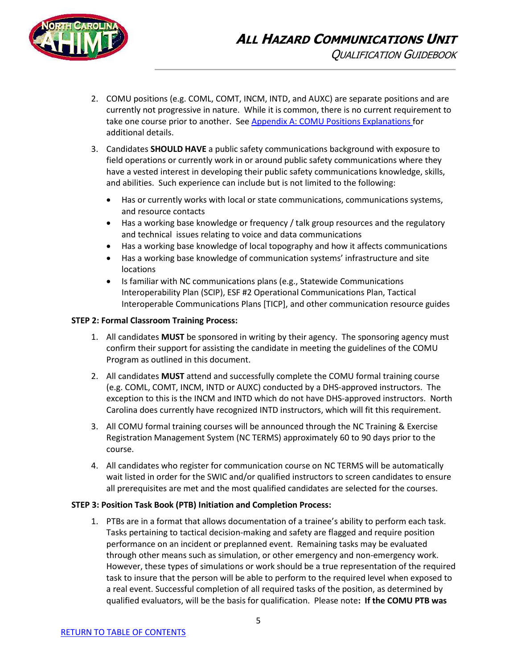

- 2. COMU positions (e.g. COML, COMT, INCM, INTD, and AUXC) are separate positions and are currently not progressive in nature. While it is common, there is no current requirement to take one course prior to another. See Appendix A: COMU [Positions Explanations](#page-10-2) for additional details.
- 3. Candidates **SHOULD HAVE** a public safety communications background with exposure to field operations or currently work in or around public safety communications where they have a vested interest in developing their public safety communications knowledge, skills, and abilities. Such experience can include but is not limited to the following:
	- Has or currently works with local or state communications, communications systems, and resource contacts
	- Has a working base knowledge or frequency / talk group resources and the regulatory and technical issues relating to voice and data communications
	- Has a working base knowledge of local topography and how it affects communications
	- Has a working base knowledge of communication systems' infrastructure and site locations
	- Is familiar with NC communications plans (e.g., Statewide Communications Interoperability Plan (SCIP), ESF #2 Operational Communications Plan, Tactical Interoperable Communications Plans [TICP], and other communication resource guides

#### <span id="page-5-0"></span> **STEP 2: Formal Classroom Training Process:**

- 1. All candidates **MUST** be sponsored in writing by their agency. The sponsoring agency must confirm their support for assisting the candidate in meeting the guidelines of the COMU Program as outlined in this document.
- 2. All candidates **MUST** attend and successfully complete the COMU formal training course (e.g. COML, COMT, INCM, INTD or AUXC) conducted by a DHS-approved instructors. The exception to this is the INCM and INTD which do not have DHS-approved instructors. North Carolina does currently have recognized INTD instructors, which will fit this requirement.
- 3. All COMU formal training courses will be announced through the NC Training & Exercise Registration Management System (NC TERMS) approximately 60 to 90 days prior to the course.
- 4. All candidates who register for communication course on NC TERMS will be automatically wait listed in order for the SWIC and/or qualified instructors to screen candidates to ensure all prerequisites are met and the most qualified candidates are selected for the courses.

#### <span id="page-5-1"></span> **STEP 3: Position Task Book (PTB) Initiation and Completion Process:**

1. PTBs are in a format that allows documentation of a trainee's ability to perform each task. Tasks pertaining to tactical decision-making and safety are flagged and require position performance on an incident or preplanned event. Remaining tasks may be evaluated through other means such as simulation, or other emergency and non-emergency work. However, these types of simulations or work should be a true representation of the required task to insure that the person will be able to perform to the required level when exposed to a real event. Successful completion of all required tasks of the position, as determined by qualified evaluators, will be the basis for qualification. Please note**: If the COMU PTB was**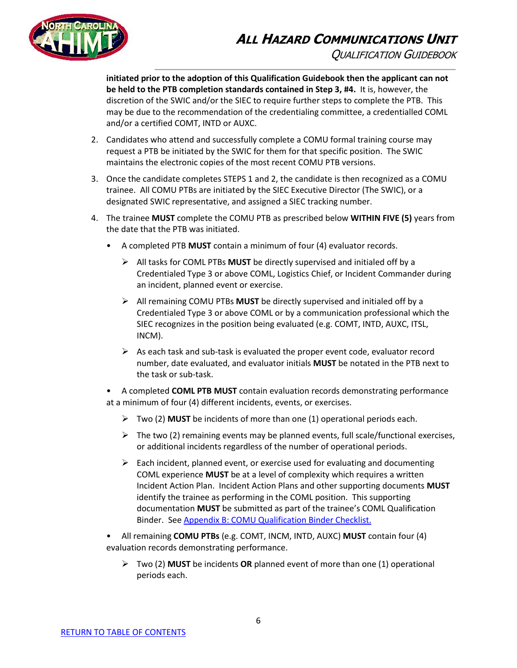# **ALL HAZARD COMMUNICATIONS UNIT** QUALIFICATION GUIDEBOOK



**initiated prior to the adoption of this Qualification Guidebook then the applicant can not be held to the PTB completion standards contained in Step 3, #4.** It is, however, the discretion of the SWIC and/or the SIEC to require further steps to complete the PTB. This may be due to the recommendation of the credentialing committee, a credentialled COML and/or a certified COMT, INTD or AUXC.

- 2. Candidates who attend and successfully complete a COMU formal training course may request a PTB be initiated by the SWIC for them for that specific position. The SWIC maintains the electronic copies of the most recent COMU PTB versions.
- 3. Once the candidate completes STEPS 1 and 2, the candidate is then recognized as a COMU trainee. All COMU PTBs are initiated by the SIEC Executive Director (The SWIC), or a designated SWIC representative, and assigned a SIEC tracking number.
- <span id="page-6-0"></span>4. The trainee **MUST** complete the COMU PTB as prescribed below **WITHIN FIVE (5)** years from the date that the PTB was initiated.
	- A completed PTB **MUST** contain a minimum of four (4) evaluator records.
		- ➢ All tasks for COML PTBs **MUST** be directly supervised and initialed off by a Credentialed Type 3 or above COML, Logistics Chief, or Incident Commander during an incident, planned event or exercise.
		- ➢ All remaining COMU PTBs **MUST** be directly supervised and initialed off by a Credentialed Type 3 or above COML or by a communication professional which the SIEC recognizes in the position being evaluated (e.g. COMT, INTD, AUXC, ITSL, INCM).
		- $\triangleright$  As each task and sub-task is evaluated the proper event code, evaluator record number, date evaluated, and evaluator initials **MUST** be notated in the PTB next to the task or sub-task.

• A completed **COML PTB MUST** contain evaluation records demonstrating performance at a minimum of four (4) different incidents, events, or exercises.

- ➢ Two (2) **MUST** be incidents of more than one (1) operational periods each.
- $\triangleright$  The two (2) remaining events may be planned events, full scale/functional exercises, or additional incidents regardless of the number of operational periods.
- $\triangleright$  Each incident, planned event, or exercise used for evaluating and documenting COML experience **MUST** be at a level of complexity which requires a written Incident Action Plan. Incident Action Plans and other supporting documents **MUST** identify the trainee as performing in the COML position. This supporting documentation **MUST** be submitted as part of the trainee's COML Qualification Binder. Se[e Appendix B: COMU Qualification Binder Checklist.](#page-11-0)
- All remaining **COMU PTBs** (e.g. COMT, INCM, INTD, AUXC) **MUST** contain four (4) evaluation records demonstrating performance.
	- ➢ Two (2) **MUST** be incidents **OR** planned event of more than one (1) operational periods each.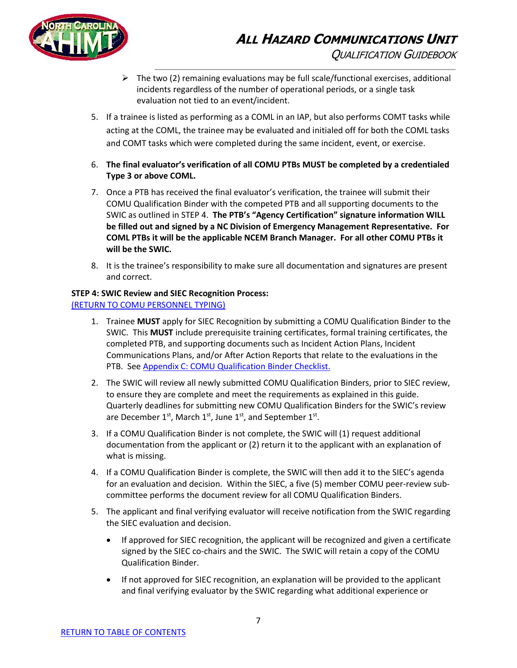

- $\triangleright$  The two (2) remaining evaluations may be full scale/functional exercises, additional incidents regardless of the number of operational periods, or a single task evaluation not tied to an event/incident.
- 5. If a trainee is listed as performing as a COML in an IAP, but also performs COMT tasks while acting at the COML, the trainee may be evaluated and initialed off for both the COML tasks and COMT tasks which were completed during the same incident, event, or exercise.
- 6. **The final evaluator's verification of all COMU PTBs MUST be completed by a credentialed Type 3 or above COML.**
- 7. Once a PTB has received the final evaluator's verification, the trainee will submit their COMU Qualification Binder with the competed PTB and all supporting documents to the SWIC as outlined in STEP 4. **The PTB's "Agency Certification" signature information WILL be filled out and signed by a NC Division of Emergency Management Representative. For COML PTBs it will be the applicable NCEM Branch Manager. For all other COMU PTBs it will be the SWIC.**
- 8. It is the trainee's responsibility to make sure all documentation and signatures are present and correct.

#### <span id="page-7-0"></span> **STEP 4: SWIC Review and SIEC Recognition Process:** [\(RETURN TO COMU PERSONNEL TYPING\)](#page-4-1)

- 1. Trainee **MUST** apply for SIEC Recognition by submitting a COMU Qualification Binder to the SWIC. This **MUST** include prerequisite training certificates, formal training certificates, the completed PTB, and supporting documents such as Incident Action Plans, Incident Communications Plans, and/or After Action Reports that relate to the evaluations in the PTB. See [Appendix C: COMU](#page-11-0) Qualification Binder Checklist.
- 2. The SWIC will review all newly submitted COMU Qualification Binders, prior to SIEC review, to ensure they are complete and meet the requirements as explained in this guide. Quarterly deadlines for submitting new COMU Qualification Binders for the SWIC's review are December 1<sup>st</sup>, March 1<sup>st</sup>, June 1<sup>st</sup>, and September 1<sup>st</sup>.
- 3. If a COMU Qualification Binder is not complete, the SWIC will (1) request additional documentation from the applicant or (2) return it to the applicant with an explanation of what is missing.
- 4. If a COMU Qualification Binder is complete, the SWIC will then add it to the SIEC's agenda for an evaluation and decision. Within the SIEC, a five (5) member COMU peer-review subcommittee performs the document review for all COMU Qualification Binders.
- 5. The applicant and final verifying evaluator will receive notification from the SWIC regarding the SIEC evaluation and decision.
	- If approved for SIEC recognition, the applicant will be recognized and given a certificate signed by the SIEC co-chairs and the SWIC. The SWIC will retain a copy of the COMU Qualification Binder.
	- If not approved for SIEC recognition, an explanation will be provided to the applicant and final verifying evaluator by the SWIC regarding what additional experience or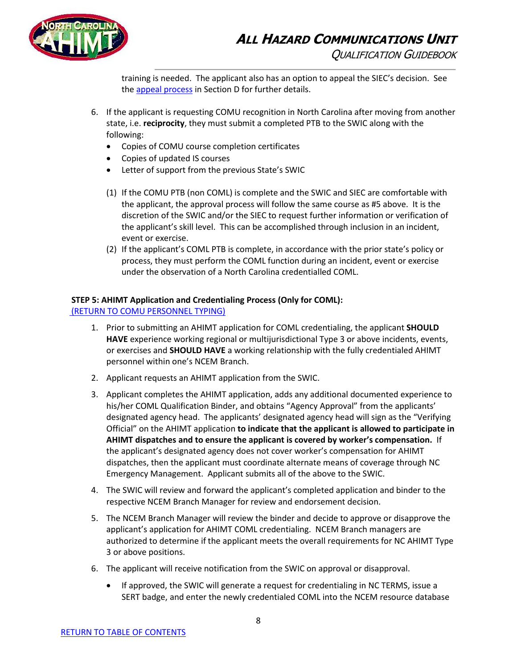

training is needed. The applicant also has an option to appeal the SIEC's decision. See th[e appeal process](#page-9-1) in Section D for further details.

- 6. If the applicant is requesting COMU recognition in North Carolina after moving from another state, i.e. **reciprocity**, they must submit a completed PTB to the SWIC along with the following:
	- Copies of COMU course completion certificates
	- Copies of updated IS courses
	- Letter of support from the previous State's SWIC
	- (1) If the COMU PTB (non COML) is complete and the SWIC and SIEC are comfortable with the applicant, the approval process will follow the same course as #5 above. It is the discretion of the SWIC and/or the SIEC to request further information or verification of the applicant's skill level. This can be accomplished through inclusion in an incident, event or exercise.
	- (2) If the applicant's COML PTB is complete, in accordance with the prior state's policy or process, they must perform the COML function during an incident, event or exercise under the observation of a North Carolina credentialled COML.

#### <span id="page-8-0"></span> **STEP 5: AHIMT Application and Credentialing Process (Only for COML):**

[\(RETURN TO COMU PERSONNEL TYPING\)](#page-4-1)

- 1. Prior to submitting an AHIMT application for COML credentialing, the applicant **SHOULD HAVE** experience working regional or multijurisdictional Type 3 or above incidents, events, or exercises and **SHOULD HAVE** a working relationship with the fully credentialed AHIMT personnel within one's NCEM Branch.
- 2. Applicant requests an AHIMT application from the SWIC.
- 3. Applicant completes the AHIMT application, adds any additional documented experience to his/her COML Qualification Binder, and obtains "Agency Approval" from the applicants' designated agency head. The applicants' designated agency head will sign as the "Verifying Official" on the AHIMT application **to indicate that the applicant is allowed to participate in AHIMT dispatches and to ensure the applicant is covered by worker's compensation.** If the applicant's designated agency does not cover worker's compensation for AHIMT dispatches, then the applicant must coordinate alternate means of coverage through NC Emergency Management. Applicant submits all of the above to the SWIC.
- 4. The SWIC will review and forward the applicant's completed application and binder to the respective NCEM Branch Manager for review and endorsement decision.
- 5. The NCEM Branch Manager will review the binder and decide to approve or disapprove the applicant's application for AHIMT COML credentialing. NCEM Branch managers are authorized to determine if the applicant meets the overall requirements for NC AHIMT Type 3 or above positions.
- 6. The applicant will receive notification from the SWIC on approval or disapproval.
	- If approved, the SWIC will generate a request for credentialing in NC TERMS, issue a SERT badge, and enter the newly credentialed COML into the NCEM resource database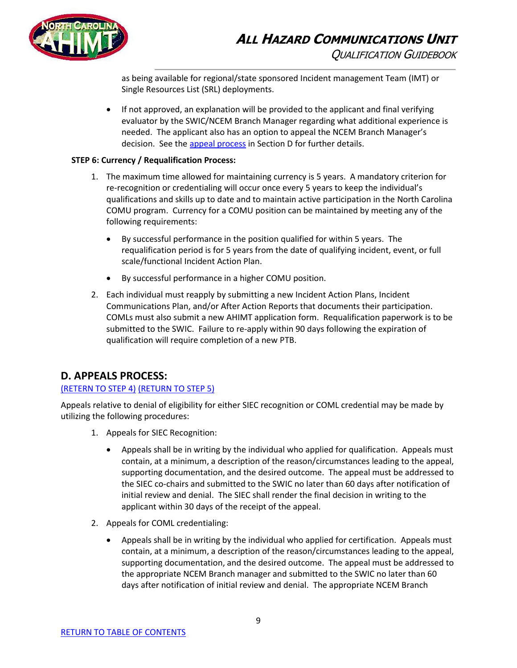

as being available for regional/state sponsored Incident management Team (IMT) or Single Resources List (SRL) deployments.

• If not approved, an explanation will be provided to the applicant and final verifying evaluator by the SWIC/NCEM Branch Manager regarding what additional experience is needed. The applicant also has an option to appeal the NCEM Branch Manager's decision. See th[e appeal process](#page-9-1) in Section D for further details.

#### <span id="page-9-0"></span> **STEP 6: Currency / Requalification Process:**

- 1. The maximum time allowed for maintaining currency is 5 years. A mandatory criterion for re-recognition or credentialing will occur once every 5 years to keep the individual's qualifications and skills up to date and to maintain active participation in the North Carolina COMU program. Currency for a COMU position can be maintained by meeting any of the following requirements:
	- By successful performance in the position qualified for within 5 years. The requalification period is for 5 years from the date of qualifying incident, event, or full scale/functional Incident Action Plan.
	- By successful performance in a higher COMU position.
- 2. Each individual must reapply by submitting a new Incident Action Plans, Incident Communications Plan, and/or After Action Reports that documents their participation. COMLs must also submit a new AHIMT application form. Requalification paperwork is to be submitted to the SWIC. Failure to re-apply within 90 days following the expiration of qualification will require completion of a new PTB.

#### <span id="page-9-1"></span>**D. APPEALS PROCESS:**

#### [\(RETERN TO STEP 4\)](#page-7-0) [\(RETURN TO STEP 5\)](#page-8-0)

Appeals relative to denial of eligibility for either SIEC recognition or COML credential may be made by utilizing the following procedures:

- 1. Appeals for SIEC Recognition:
	- Appeals shall be in writing by the individual who applied for qualification. Appeals must contain, at a minimum, a description of the reason/circumstances leading to the appeal, supporting documentation, and the desired outcome. The appeal must be addressed to the SIEC co-chairs and submitted to the SWIC no later than 60 days after notification of initial review and denial. The SIEC shall render the final decision in writing to the applicant within 30 days of the receipt of the appeal.
- 2. Appeals for COML credentialing:
	- Appeals shall be in writing by the individual who applied for certification. Appeals must contain, at a minimum, a description of the reason/circumstances leading to the appeal, supporting documentation, and the desired outcome. The appeal must be addressed to the appropriate NCEM Branch manager and submitted to the SWIC no later than 60 days after notification of initial review and denial. The appropriate NCEM Branch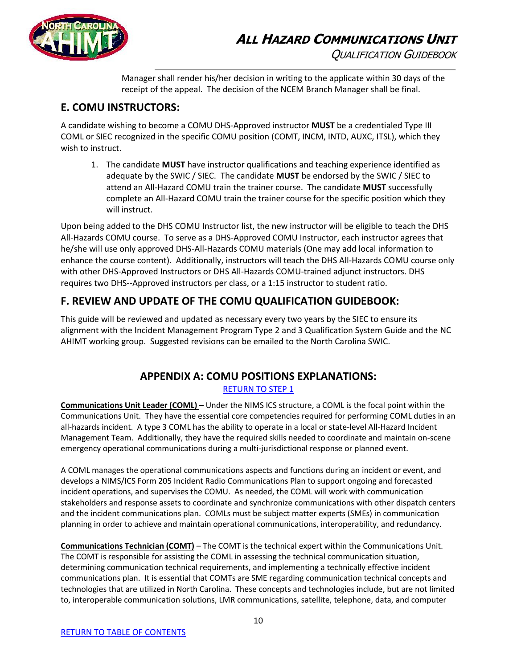

Manager shall render his/her decision in writing to the applicate within 30 days of the receipt of the appeal. The decision of the NCEM Branch Manager shall be final.

### <span id="page-10-0"></span>**E. COMU INSTRUCTORS:**

A candidate wishing to become a COMU DHS-Approved instructor **MUST** be a credentialed Type III COML or SIEC recognized in the specific COMU position (COMT, INCM, INTD, AUXC, ITSL), which they wish to instruct.

1. The candidate **MUST** have instructor qualifications and teaching experience identified as adequate by the SWIC / SIEC. The candidate **MUST** be endorsed by the SWIC / SIEC to attend an All-Hazard COMU train the trainer course. The candidate **MUST** successfully complete an All-Hazard COMU train the trainer course for the specific position which they will instruct.

Upon being added to the DHS COMU Instructor list, the new instructor will be eligible to teach the DHS All-Hazards COMU course. To serve as a DHS-Approved COMU Instructor, each instructor agrees that he/she will use only approved DHS-All-Hazards COMU materials (One may add local information to enhance the course content). Additionally, instructors will teach the DHS All-Hazards COMU course only with other DHS-Approved Instructors or DHS All-Hazards COMU-trained adjunct instructors. DHS requires two DHS--Approved instructors per class, or a 1:15 instructor to student ratio.

# <span id="page-10-1"></span>**F. REVIEW AND UPDATE OF THE COMU QUALIFICATION GUIDEBOOK:**

This guide will be reviewed and updated as necessary every two years by the SIEC to ensure its alignment with the Incident Management Program Type 2 and 3 Qualification System Guide and the NC AHIMT working group. Suggested revisions can be emailed to the North Carolina SWIC.

# **APPENDIX A: COMU POSITIONS EXPLANATIONS:**

#### [RETURN TO STEP 1](#page-4-3)

<span id="page-10-2"></span>**Communications Unit Leader (COML)** – Under the NIMS ICS structure, a COML is the focal point within the Communications Unit. They have the essential core competencies required for performing COML duties in an all-hazards incident. A type 3 COML has the ability to operate in a local or state-level All-Hazard Incident Management Team. Additionally, they have the required skills needed to coordinate and maintain on-scene emergency operational communications during a multi-jurisdictional response or planned event.

A COML manages the operational communications aspects and functions during an incident or event, and develops a NIMS/ICS Form 205 Incident Radio Communications Plan to support ongoing and forecasted incident operations, and supervises the COMU. As needed, the COML will work with communication stakeholders and response assets to coordinate and synchronize communications with other dispatch centers and the incident communications plan. COMLs must be subject matter experts (SMEs) in communication planning in order to achieve and maintain operational communications, interoperability, and redundancy.

**Communications Technician (COMT)** – The COMT is the technical expert within the Communications Unit. The COMT is responsible for assisting the COML in assessing the technical communication situation, determining communication technical requirements, and implementing a technically effective incident communications plan. It is essential that COMTs are SME regarding communication technical concepts and technologies that are utilized in North Carolina. These concepts and technologies include, but are not limited to, interoperable communication solutions, LMR communications, satellite, telephone, data, and computer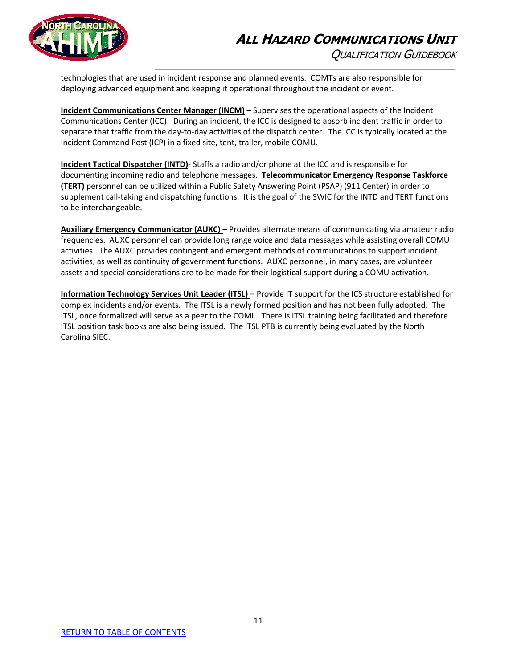# **ALL HAZARD COMMUNICATIONS UNIT** QUALIFICATION GUIDEBOOK



technologies that are used in incident response and planned events. COMTs are also responsible for deploying advanced equipment and keeping it operational throughout the incident or event.

**Incident Communications Center Manager (INCM)** – Supervises the operational aspects of the Incident Communications Center (ICC). During an incident, the ICC is designed to absorb incident traffic in order to separate that traffic from the day-to-day activities of the dispatch center. The ICC is typically located at the Incident Command Post (ICP) in a fixed site, tent, trailer, mobile COMU.

**Incident Tactical Dispatcher (INTD)**- Staffs a radio and/or phone at the ICC and is responsible for documenting incoming radio and telephone messages. **Telecommunicator Emergency Response Taskforce (TERT)** personnel can be utilized within a Public Safety Answering Point (PSAP) (911 Center) in order to supplement call-taking and dispatching functions. It is the goal of the SWIC for the INTD and TERT functions to be interchangeable.

**Auxiliary Emergency Communicator (AUXC)** – Provides alternate means of communicating via amateur radio frequencies. AUXC personnel can provide long range voice and data messages while assisting overall COMU activities. The AUXC provides contingent and emergent methods of communications to support incident activities, as well as continuity of government functions. AUXC personnel, in many cases, are volunteer assets and special considerations are to be made for their logistical support during a COMU activation.

<span id="page-11-0"></span>**Information Technology Services Unit Leader (ITSL)** – Provide IT support for the ICS structure established for complex incidents and/or events. The ITSL is a newly formed position and has not been fully adopted. The ITSL, once formalized will serve as a peer to the COML. There is ITSL training being facilitated and therefore ITSL position task books are also being issued. The ITSL PTB is currently being evaluated by the North Carolina SIEC.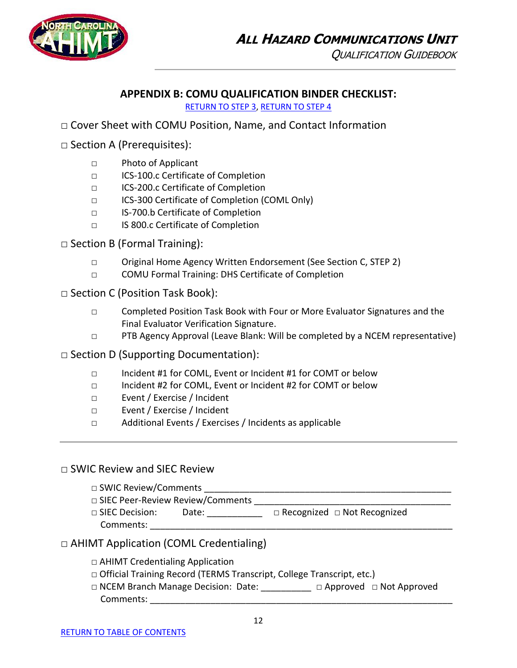

### **APPENDIX B: COMU QUALIFICATION BINDER CHECKLIST:**

[RETURN TO STEP 3,](#page-6-0) [RETURN TO STEP 4](#page-7-0)

□ Cover Sheet with COMU Position, Name, and Contact Information

□ Section A (Prerequisites):

- □ Photo of Applicant
- □ ICS-100.c Certificate of Completion
- □ ICS-200.c Certificate of Completion
- □ ICS-300 Certificate of Completion (COML Only)
- □ IS-700.b Certificate of Completion
- □ IS 800.c Certificate of Completion

 $\Box$  Section B (Formal Training):

- □ Original Home Agency Written Endorsement (See Section C, STEP 2)
- □ COMU Formal Training: DHS Certificate of Completion

□ Section C (Position Task Book):

- □ Completed Position Task Book with Four or More Evaluator Signatures and the Final Evaluator Verification Signature.
- □ PTB Agency Approval (Leave Blank: Will be completed by a NCEM representative)

 $\Box$  Section D (Supporting Documentation):

- □ Incident #1 for COML, Event or Incident #1 for COMT or below
- □ Incident #2 for COML, Event or Incident #2 for COMT or below
- □ Event / Exercise / Incident
- □ Event / Exercise / Incident
- □ Additional Events / Exercises / Incidents as applicable

### □ SWIC Review and SIEC Review

 $\Box$  SWIC Review/Comments

□ SIEC Peer-Review Review/Comments

□ SIEC Decision: Date: \_\_\_\_\_\_\_\_\_\_\_ □ Recognized □ Not Recognized Comments:

### □ AHIMT Application (COML Credentialing)

- □ AHIMT Credentialing Application
- □ Official Training Record (TERMS Transcript, College Transcript, etc.)
- □ NCEM Branch Manage Decision: Date: \_\_\_\_\_\_\_\_\_\_ □ Approved □ Not Approved Comments: \_\_\_\_\_\_\_\_\_\_\_\_\_\_\_\_\_\_\_\_\_\_\_\_\_\_\_\_\_\_\_\_\_\_\_\_\_\_\_\_\_\_\_\_\_\_\_\_\_\_\_\_\_\_\_\_\_\_\_\_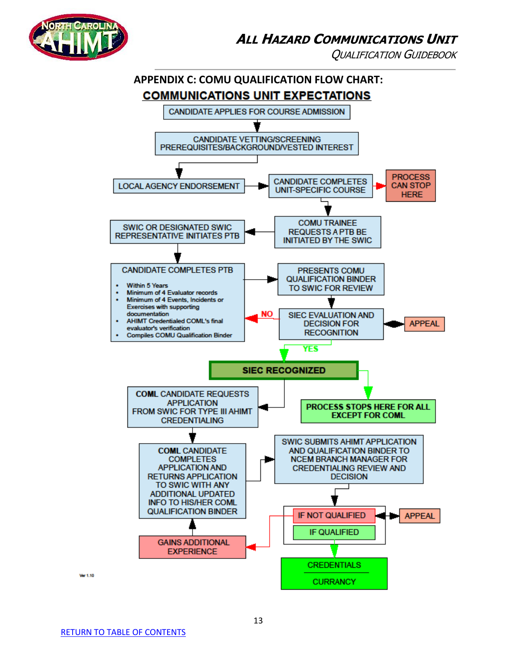

QUALIFICATION GUIDEBOOK

<span id="page-13-0"></span>